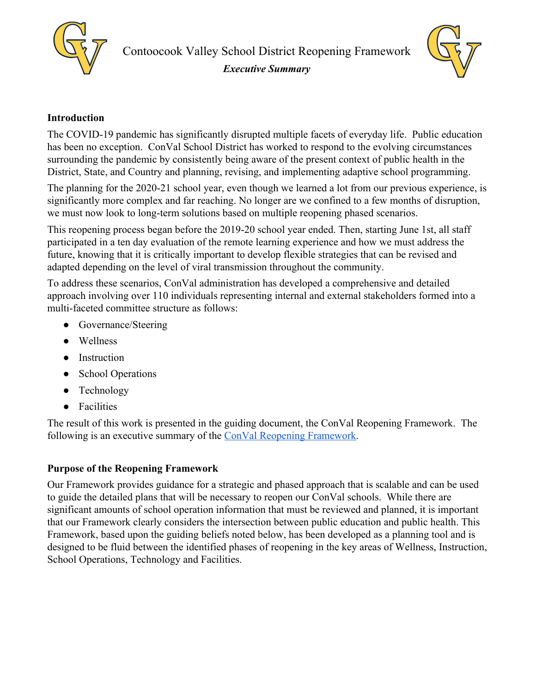



# **Introduction**

The COVID-19 pandemic has significantly disrupted multiple facets of everyday life. Public education has been no exception. ConVal School District has worked to respond to the evolving circumstances surrounding the pandemic by consistently being aware of the present context of public health in the District, State, and Country and planning, revising, and implementing adaptive school programming.

The planning for the 2020-21 school year, even though we learned a lot from our previous experience, is significantly more complex and far reaching. No longer are we confined to a few months of disruption, we must now look to long-term solutions based on multiple reopening phased scenarios.

This reopening process began before the 2019-20 school year ended. Then, starting June 1st, all staff participated in a ten day evaluation of the remote learning experience and how we must address the future, knowing that it is critically important to develop flexible strategies that can be revised and adapted depending on the level of viral transmission throughout the community.

To address these scenarios, ConVal administration has developed a comprehensive and detailed approach involving over 110 individuals representing internal and external stakeholders formed into a multi-faceted committee structure as follows:

- Governance/Steering
- Wellness
- Instruction
- School Operations
- Technology
- Facilities

The result of this work is presented in the guiding document, the ConVal Reopening Framework. The following is an executive summary of the [ConVal Reopening Framework.](http://convalsd.net/wp-content/uploads/2020/07/Guidance-Document.pdf)

# **Purpose of the Reopening Framework**

Our Framework provides guidance for a strategic and phased approach that is scalable and can be used to guide the detailed plans that will be necessary to reopen our ConVal schools. While there are significant amounts of school operation information that must be reviewed and planned, it is important that our Framework clearly considers the intersection between public education and public health. This Framework, based upon the guiding beliefs noted below, has been developed as a planning tool and is designed to be fluid between the identified phases of reopening in the key areas of Wellness, Instruction, School Operations, Technology and Facilities.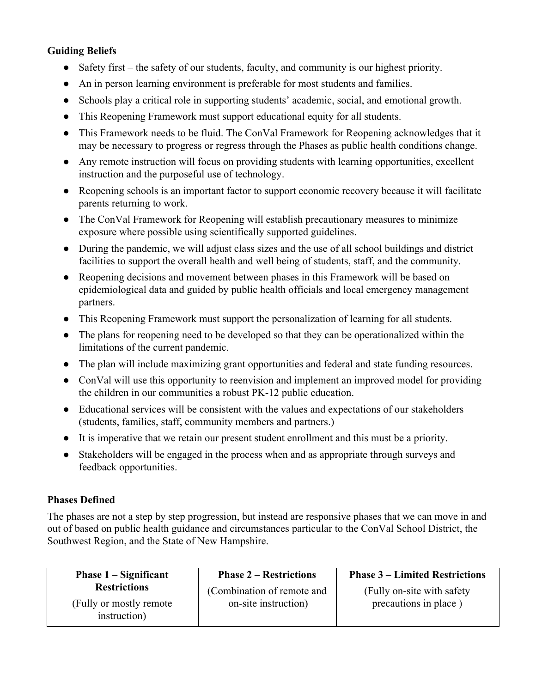## **Guiding Beliefs**

- Safety first the safety of our students, faculty, and community is our highest priority.
- An in person learning environment is preferable for most students and families.
- Schools play a critical role in supporting students' academic, social, and emotional growth.
- This Reopening Framework must support educational equity for all students.
- This Framework needs to be fluid. The ConVal Framework for Reopening acknowledges that it may be necessary to progress or regress through the Phases as public health conditions change.
- Any remote instruction will focus on providing students with learning opportunities, excellent instruction and the purposeful use of technology.
- Reopening schools is an important factor to support economic recovery because it will facilitate parents returning to work.
- The ConVal Framework for Reopening will establish precautionary measures to minimize exposure where possible using scientifically supported guidelines.
- During the pandemic, we will adjust class sizes and the use of all school buildings and district facilities to support the overall health and well being of students, staff, and the community.
- Reopening decisions and movement between phases in this Framework will be based on epidemiological data and guided by public health officials and local emergency management partners.
- This Reopening Framework must support the personalization of learning for all students.
- The plans for reopening need to be developed so that they can be operationalized within the limitations of the current pandemic.
- The plan will include maximizing grant opportunities and federal and state funding resources.
- ConVal will use this opportunity to reenvision and implement an improved model for providing the children in our communities a robust PK-12 public education.
- Educational services will be consistent with the values and expectations of our stakeholders (students, families, staff, community members and partners.)
- It is imperative that we retain our present student enrollment and this must be a priority.
- Stakeholders will be engaged in the process when and as appropriate through surveys and feedback opportunities.

#### **Phases Defined**

The phases are not a step by step progression, but instead are responsive phases that we can move in and out of based on public health guidance and circumstances particular to the ConVal School District, the Southwest Region, and the State of New Hampshire.

| <b>Phase 1 – Significant</b>                    | <b>Phase 2 – Restrictions</b>                      | <b>Phase 3 – Limited Restrictions</b>                |
|-------------------------------------------------|----------------------------------------------------|------------------------------------------------------|
| <b>Restrictions</b><br>(Fully or mostly remote) | (Combination of remote and<br>on-site instruction) | (Fully on-site with safety)<br>precautions in place) |
| instruction)                                    |                                                    |                                                      |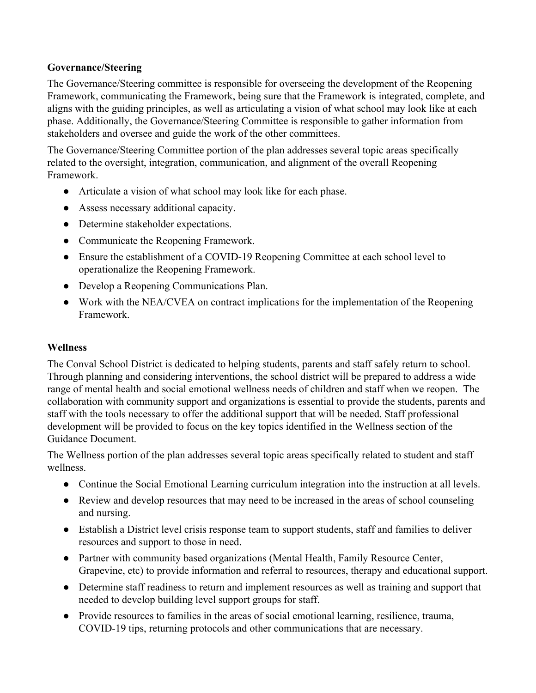## **Governance/Steering**

The Governance/Steering committee is responsible for overseeing the development of the Reopening Framework, communicating the Framework, being sure that the Framework is integrated, complete, and aligns with the guiding principles, as well as articulating a vision of what school may look like at each phase. Additionally, the Governance/Steering Committee is responsible to gather information from stakeholders and oversee and guide the work of the other committees.

The Governance/Steering Committee portion of the plan addresses several topic areas specifically related to the oversight, integration, communication, and alignment of the overall Reopening Framework.

- Articulate a vision of what school may look like for each phase.
- Assess necessary additional capacity.
- Determine stakeholder expectations.
- Communicate the Reopening Framework.
- Ensure the establishment of a COVID-19 Reopening Committee at each school level to operationalize the Reopening Framework.
- Develop a Reopening Communications Plan.
- Work with the NEA/CVEA on contract implications for the implementation of the Reopening Framework.

#### **Wellness**

The Conval School District is dedicated to helping students, parents and staff safely return to school. Through planning and considering interventions, the school district will be prepared to address a wide range of mental health and social emotional wellness needs of children and staff when we reopen. The collaboration with community support and organizations is essential to provide the students, parents and staff with the tools necessary to offer the additional support that will be needed. Staff professional development will be provided to focus on the key topics identified in the Wellness section of the Guidance Document.

The Wellness portion of the plan addresses several topic areas specifically related to student and staff wellness.

- Continue the Social Emotional Learning curriculum integration into the instruction at all levels.
- Review and develop resources that may need to be increased in the areas of school counseling and nursing.
- Establish a District level crisis response team to support students, staff and families to deliver resources and support to those in need.
- Partner with community based organizations (Mental Health, Family Resource Center, Grapevine, etc) to provide information and referral to resources, therapy and educational support.
- Determine staff readiness to return and implement resources as well as training and support that needed to develop building level support groups for staff.
- Provide resources to families in the areas of social emotional learning, resilience, trauma, COVID-19 tips, returning protocols and other communications that are necessary.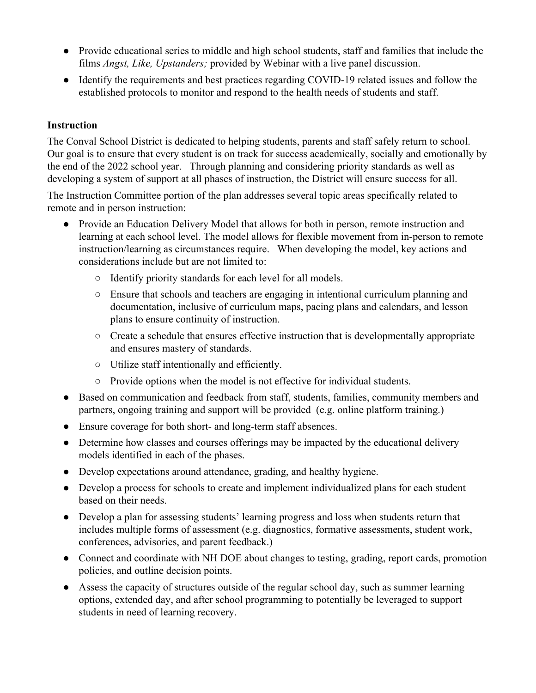- Provide educational series to middle and high school students, staff and families that include the films *Angst, Like, Upstanders;* provided by Webinar with a live panel discussion.
- Identify the requirements and best practices regarding COVID-19 related issues and follow the established protocols to monitor and respond to the health needs of students and staff.

## **Instruction**

The Conval School District is dedicated to helping students, parents and staff safely return to school. Our goal is to ensure that every student is on track for success academically, socially and emotionally by the end of the 2022 school year. Through planning and considering priority standards as well as developing a system of support at all phases of instruction, the District will ensure success for all.

The Instruction Committee portion of the plan addresses several topic areas specifically related to remote and in person instruction:

- Provide an Education Delivery Model that allows for both in person, remote instruction and learning at each school level. The model allows for flexible movement from in-person to remote instruction/learning as circumstances require. When developing the model, key actions and considerations include but are not limited to:
	- Identify priority standards for each level for all models.
	- Ensure that schools and teachers are engaging in intentional curriculum planning and documentation, inclusive of curriculum maps, pacing plans and calendars, and lesson plans to ensure continuity of instruction.
	- Create a schedule that ensures effective instruction that is developmentally appropriate and ensures mastery of standards.
	- Utilize staff intentionally and efficiently.
	- Provide options when the model is not effective for individual students.
- Based on communication and feedback from staff, students, families, community members and partners, ongoing training and support will be provided (e.g. online platform training.)
- Ensure coverage for both short- and long-term staff absences.
- Determine how classes and courses offerings may be impacted by the educational delivery models identified in each of the phases.
- Develop expectations around attendance, grading, and healthy hygiene.
- Develop a process for schools to create and implement individualized plans for each student based on their needs.
- Develop a plan for assessing students' learning progress and loss when students return that includes multiple forms of assessment (e.g. diagnostics, formative assessments, student work, conferences, advisories, and parent feedback.)
- Connect and coordinate with NH DOE about changes to testing, grading, report cards, promotion policies, and outline decision points.
- Assess the capacity of structures outside of the regular school day, such as summer learning options, extended day, and after school programming to potentially be leveraged to support students in need of learning recovery.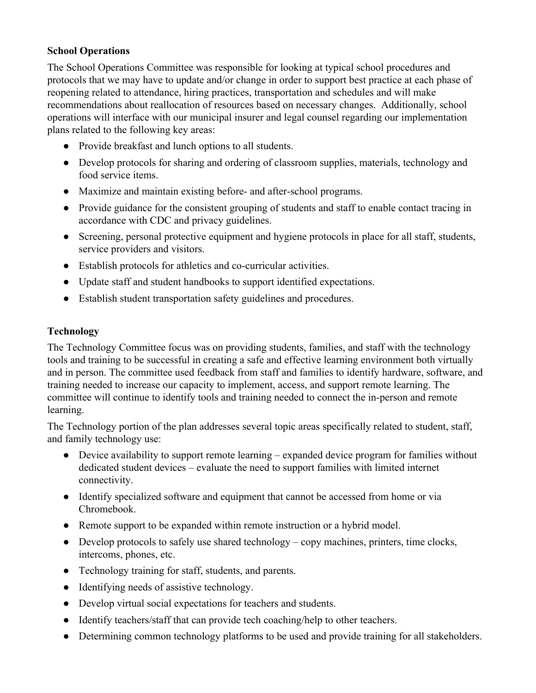### **School Operations**

The School Operations Committee was responsible for looking at typical school procedures and protocols that we may have to update and/or change in order to support best practice at each phase of reopening related to attendance, hiring practices, transportation and schedules and will make recommendations about reallocation of resources based on necessary changes. Additionally, school operations will interface with our municipal insurer and legal counsel regarding our implementation plans related to the following key areas:

- Provide breakfast and lunch options to all students.
- Develop protocols for sharing and ordering of classroom supplies, materials, technology and food service items.
- Maximize and maintain existing before- and after-school programs.
- Provide guidance for the consistent grouping of students and staff to enable contact tracing in accordance with CDC and privacy guidelines.
- Screening, personal protective equipment and hygiene protocols in place for all staff, students, service providers and visitors.
- Establish protocols for athletics and co-curricular activities.
- Update staff and student handbooks to support identified expectations.
- Establish student transportation safety guidelines and procedures.

### **Technology**

The Technology Committee focus was on providing students, families, and staff with the technology tools and training to be successful in creating a safe and effective learning environment both virtually and in person. The committee used feedback from staff and families to identify hardware, software, and training needed to increase our capacity to implement, access, and support remote learning. The committee will continue to identify tools and training needed to connect the in-person and remote learning.

The Technology portion of the plan addresses several topic areas specifically related to student, staff, and family technology use:

- Device availability to support remote learning expanded device program for families without dedicated student devices – evaluate the need to support families with limited internet connectivity.
- Identify specialized software and equipment that cannot be accessed from home or via Chromebook.
- Remote support to be expanded within remote instruction or a hybrid model.
- Develop protocols to safely use shared technology copy machines, printers, time clocks, intercoms, phones, etc.
- Technology training for staff, students, and parents.
- Identifying needs of assistive technology.
- Develop virtual social expectations for teachers and students.
- Identify teachers/staff that can provide tech coaching/help to other teachers.
- Determining common technology platforms to be used and provide training for all stakeholders.